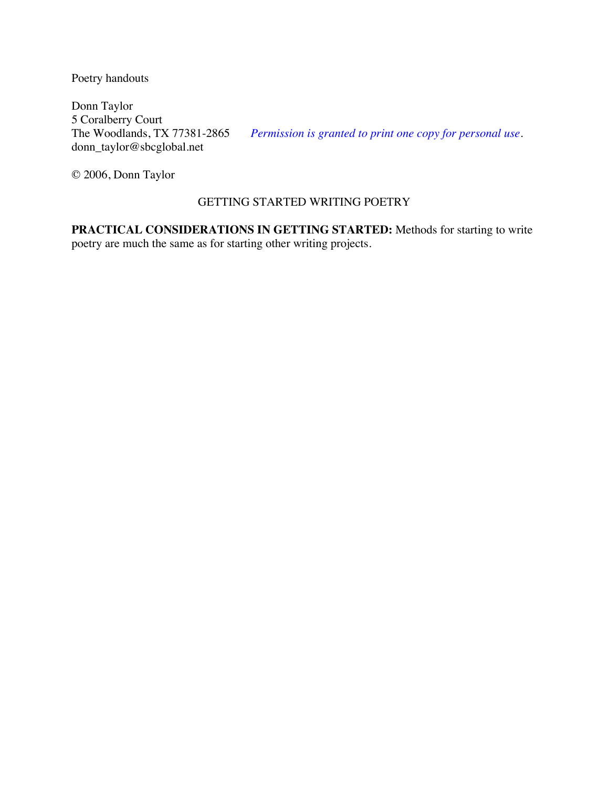Poetry handouts

Donn Taylor 5 Coralberry Court<br>The Woodlands, TX 77381-2865 donn\_taylor@sbcglobal.net

Permission is granted to print one copy for personal use.

© 2006, Donn Taylor

# GETTING STARTED WRITING POETRY

**PRACTICAL CONSIDERATIONS IN GETTING STARTED:** Methods for starting to write poetry are much the same as for starting other writing projects.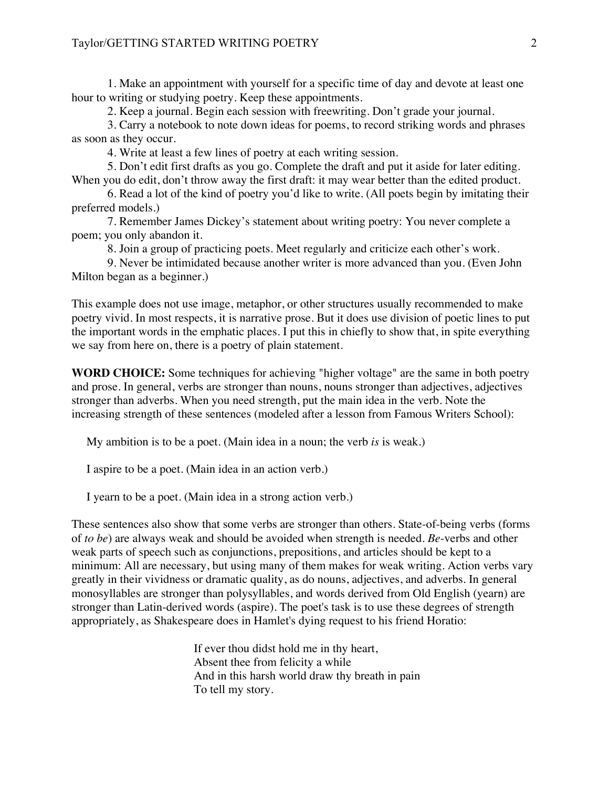1. Make an appointment with yourself for a specific time of day and devote at least one hour to writing or studying poetry. Keep these appointments.

2. Keep a journal. Begin each session with freewriting. Don't grade your journal.

3. Carry a notebook to note down ideas for poems, to record striking words and phrases as soon as they occur.

4. Write at least a few lines of poetry at each writing session.

5. Don't edit first drafts as you go. Complete the draft and put it aside for later editing. When you do edit, don't throw away the first draft: it may wear better than the edited product.

6. Read a lot of the kind of poetry you'd like to write. (All poets begin by imitating their preferred models.)

7. Remember James Dickey's statement about writing poetry: You never complete a poem; you only abandon it.

8. Join a group of practicing poets. Meet regularly and criticize each other's work.

9. Never be intimidated because another writer is more advanced than you. (Even John Milton began as a beginner.)

This example does not use image, metaphor, or other structures usually recommended to make poetry vivid. In most respects, it is narrative prose. But it does use division of poetic lines to put the important words in the emphatic places. I put this in chiefly to show that, in spite everything we say from here on, there is a poetry of plain statement.

**WORD CHOICE:** Some techniques for achieving "higher voltage" are the same in both poetry and prose. In general, verbs are stronger than nouns, nouns stronger than adjectives, adjectives stronger than adverbs. When you need strength, put the main idea in the verb. Note the increasing strength of these sentences (modeled after a lesson from Famous Writers School):

My ambition is to be a poet. (Main idea in a noun; the verb *is* is weak.)

I aspire to be a poet. (Main idea in an action verb.)

I yearn to be a poet. (Main idea in a strong action verb.)

These sentences also show that some verbs are stronger than others. State-of-being verbs (forms of *to be*) are always weak and should be avoided when strength is needed. *Be*-verbs and other weak parts of speech such as conjunctions, prepositions, and articles should be kept to a minimum: All are necessary, but using many of them makes for weak writing. Action verbs vary greatly in their vividness or dramatic quality, as do nouns, adjectives, and adverbs. In general monosyllables are stronger than polysyllables, and words derived from Old English (yearn) are stronger than Latin-derived words (aspire). The poet's task is to use these degrees of strength appropriately, as Shakespeare does in Hamlet's dying request to his friend Horatio:

> If ever thou didst hold me in thy heart, Absent thee from felicity a while And in this harsh world draw thy breath in pain To tell my story.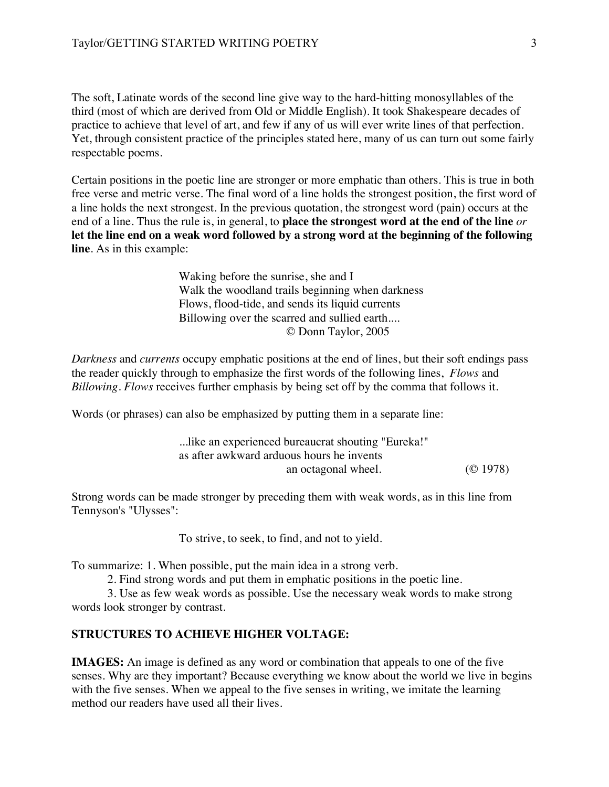The soft, Latinate words of the second line give way to the hard-hitting monosyllables of the third (most of which are derived from Old or Middle English). It took Shakespeare decades of practice to achieve that level of art, and few if any of us will ever write lines of that perfection. Yet, through consistent practice of the principles stated here, many of us can turn out some fairly respectable poems.

Certain positions in the poetic line are stronger or more emphatic than others. This is true in both free verse and metric verse. The final word of a line holds the strongest position, the first word of a line holds the next strongest. In the previous quotation, the strongest word (pain) occurs at the end of a line. Thus the rule is, in general, to **place the strongest word at the end of the line** *or* **let the line end on a weak word followed by a strong word at the beginning of the following line**. As in this example:

> Waking before the sunrise, she and I Walk the woodland trails beginning when darkness Flows, flood-tide, and sends its liquid currents Billowing over the scarred and sullied earth.... © Donn Taylor, 2005

*Darkness* and *currents* occupy emphatic positions at the end of lines, but their soft endings pass the reader quickly through to emphasize the first words of the following lines, *Flows* and *Billowing*. *Flows* receives further emphasis by being set off by the comma that follows it.

Words (or phrases) can also be emphasized by putting them in a separate line:

| like an experienced bureaucrat shouting "Eureka!" |          |
|---------------------------------------------------|----------|
| as after awkward arduous hours he invents         |          |
| an octagonal wheel.                               | (O 1978) |

Strong words can be made stronger by preceding them with weak words, as in this line from Tennyson's "Ulysses":

To strive, to seek, to find, and not to yield.

To summarize: 1. When possible, put the main idea in a strong verb.

2. Find strong words and put them in emphatic positions in the poetic line.

3. Use as few weak words as possible. Use the necessary weak words to make strong words look stronger by contrast.

# **STRUCTURES TO ACHIEVE HIGHER VOLTAGE:**

**IMAGES:** An image is defined as any word or combination that appeals to one of the five senses. Why are they important? Because everything we know about the world we live in begins with the five senses. When we appeal to the five senses in writing, we imitate the learning method our readers have used all their lives.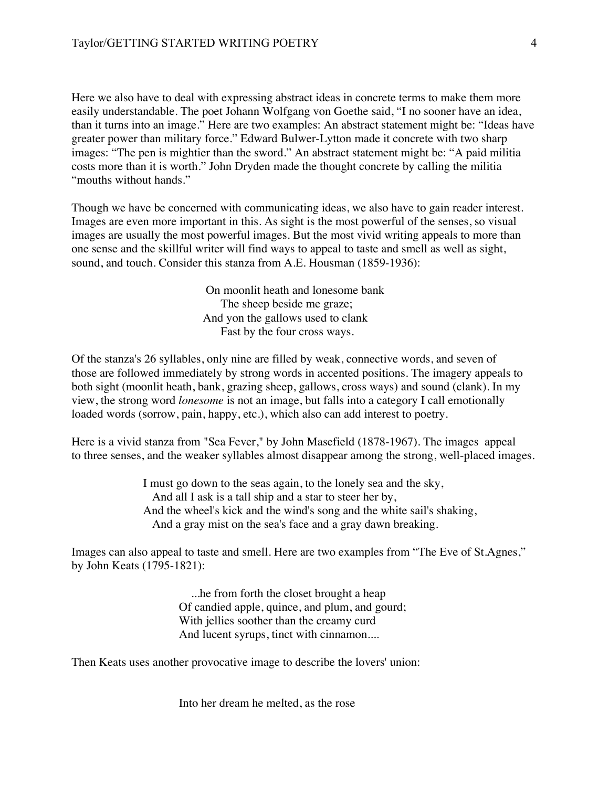Here we also have to deal with expressing abstract ideas in concrete terms to make them more easily understandable. The poet Johann Wolfgang von Goethe said, "I no sooner have an idea, than it turns into an image." Here are two examples: An abstract statement might be: "Ideas have greater power than military force." Edward Bulwer-Lytton made it concrete with two sharp images: "The pen is mightier than the sword." An abstract statement might be: "A paid militia costs more than it is worth." John Dryden made the thought concrete by calling the militia "mouths without hands."

Though we have be concerned with communicating ideas, we also have to gain reader interest. Images are even more important in this. As sight is the most powerful of the senses, so visual images are usually the most powerful images. But the most vivid writing appeals to more than one sense and the skillful writer will find ways to appeal to taste and smell as well as sight, sound, and touch. Consider this stanza from A.E. Housman (1859-1936):

> On moonlit heath and lonesome bank The sheep beside me graze; And yon the gallows used to clank Fast by the four cross ways.

Of the stanza's 26 syllables, only nine are filled by weak, connective words, and seven of those are followed immediately by strong words in accented positions. The imagery appeals to both sight (moonlit heath, bank, grazing sheep, gallows, cross ways) and sound (clank). In my view, the strong word *lonesome* is not an image, but falls into a category I call emotionally loaded words (sorrow, pain, happy, etc.), which also can add interest to poetry.

Here is a vivid stanza from "Sea Fever," by John Masefield (1878-1967). The images appeal to three senses, and the weaker syllables almost disappear among the strong, well-placed images.

> I must go down to the seas again, to the lonely sea and the sky, And all I ask is a tall ship and a star to steer her by, And the wheel's kick and the wind's song and the white sail's shaking, And a gray mist on the sea's face and a gray dawn breaking.

Images can also appeal to taste and smell. Here are two examples from "The Eve of St.Agnes," by John Keats (1795-1821):

> ...he from forth the closet brought a heap Of candied apple, quince, and plum, and gourd; With jellies soother than the creamy curd And lucent syrups, tinct with cinnamon....

Then Keats uses another provocative image to describe the lovers' union:

Into her dream he melted, as the rose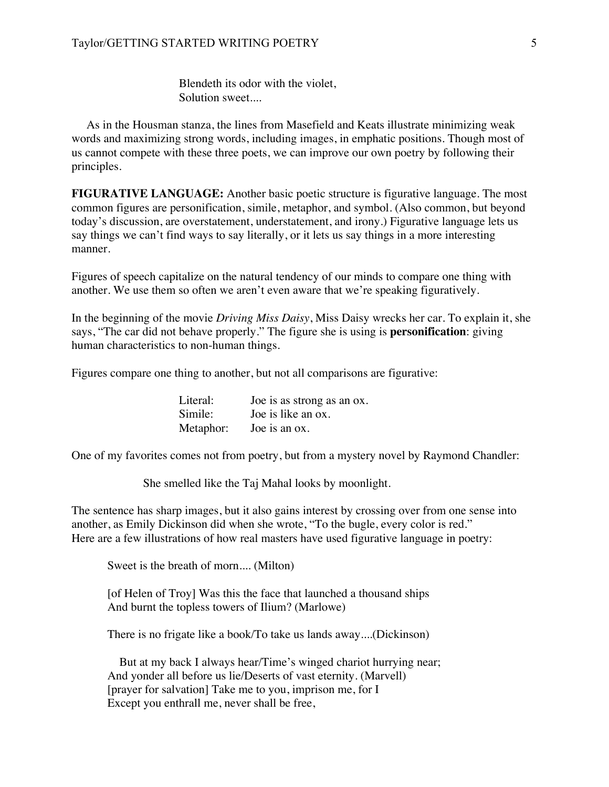Blendeth its odor with the violet, Solution sweet....

 As in the Housman stanza, the lines from Masefield and Keats illustrate minimizing weak words and maximizing strong words, including images, in emphatic positions. Though most of us cannot compete with these three poets, we can improve our own poetry by following their principles.

**FIGURATIVE LANGUAGE:** Another basic poetic structure is figurative language. The most common figures are personification, simile, metaphor, and symbol. (Also common, but beyond today's discussion, are overstatement, understatement, and irony.) Figurative language lets us say things we can't find ways to say literally, or it lets us say things in a more interesting manner.

Figures of speech capitalize on the natural tendency of our minds to compare one thing with another. We use them so often we aren't even aware that we're speaking figuratively.

In the beginning of the movie *Driving Miss Daisy*, Miss Daisy wrecks her car. To explain it, she says, "The car did not behave properly." The figure she is using is **personification**: giving human characteristics to non-human things.

Figures compare one thing to another, but not all comparisons are figurative:

| Literal:  | Joe is as strong as an ox. |
|-----------|----------------------------|
| Simile:   | Joe is like an ox.         |
| Metaphor: | Joe is an ox.              |

One of my favorites comes not from poetry, but from a mystery novel by Raymond Chandler:

She smelled like the Taj Mahal looks by moonlight.

The sentence has sharp images, but it also gains interest by crossing over from one sense into another, as Emily Dickinson did when she wrote, "To the bugle, every color is red." Here are a few illustrations of how real masters have used figurative language in poetry:

Sweet is the breath of morn.... (Milton)

[of Helen of Troy] Was this the face that launched a thousand ships And burnt the topless towers of Ilium? (Marlowe)

There is no frigate like a book/To take us lands away....(Dickinson)

 But at my back I always hear/Time's winged chariot hurrying near; And yonder all before us lie/Deserts of vast eternity. (Marvell) [prayer for salvation] Take me to you, imprison me, for I Except you enthrall me, never shall be free,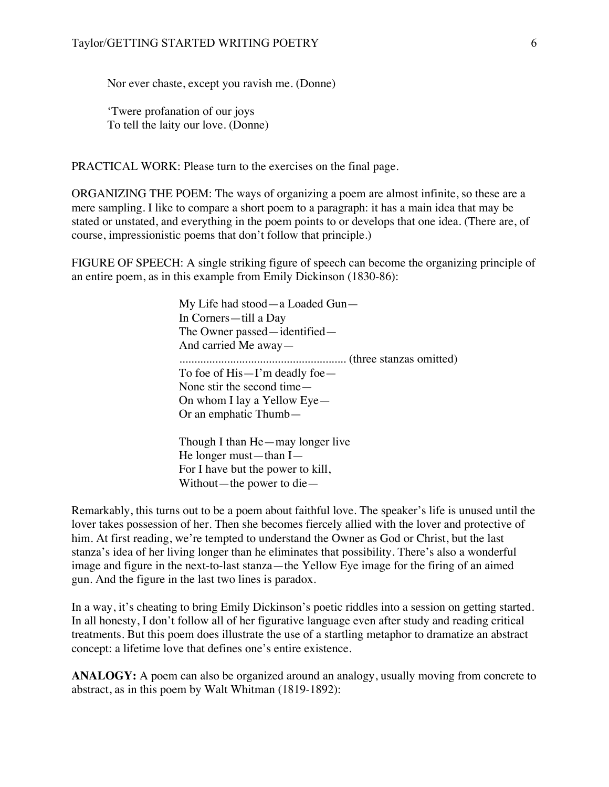Nor ever chaste, except you ravish me. (Donne)

'Twere profanation of our joys To tell the laity our love. (Donne)

PRACTICAL WORK: Please turn to the exercises on the final page.

ORGANIZING THE POEM: The ways of organizing a poem are almost infinite, so these are a mere sampling. I like to compare a short poem to a paragraph: it has a main idea that may be stated or unstated, and everything in the poem points to or develops that one idea. (There are, of course, impressionistic poems that don't follow that principle.)

FIGURE OF SPEECH: A single striking figure of speech can become the organizing principle of an entire poem, as in this example from Emily Dickinson (1830-86):

> My Life had stood—a Loaded Gun— In Corners—till a Day The Owner passed—identified— And carried Me away— ........................................................ (three stanzas omitted) To foe of His—I'm deadly foe— None stir the second time— On whom I lay a Yellow Eye— Or an emphatic Thumb—

Though I than He—may longer live He longer must—than I— For I have but the power to kill, Without—the power to die—

Remarkably, this turns out to be a poem about faithful love. The speaker's life is unused until the lover takes possession of her. Then she becomes fiercely allied with the lover and protective of him. At first reading, we're tempted to understand the Owner as God or Christ, but the last stanza's idea of her living longer than he eliminates that possibility. There's also a wonderful image and figure in the next-to-last stanza—the Yellow Eye image for the firing of an aimed gun. And the figure in the last two lines is paradox.

In a way, it's cheating to bring Emily Dickinson's poetic riddles into a session on getting started. In all honesty, I don't follow all of her figurative language even after study and reading critical treatments. But this poem does illustrate the use of a startling metaphor to dramatize an abstract concept: a lifetime love that defines one's entire existence.

**ANALOGY:** A poem can also be organized around an analogy, usually moving from concrete to abstract, as in this poem by Walt Whitman (1819-1892):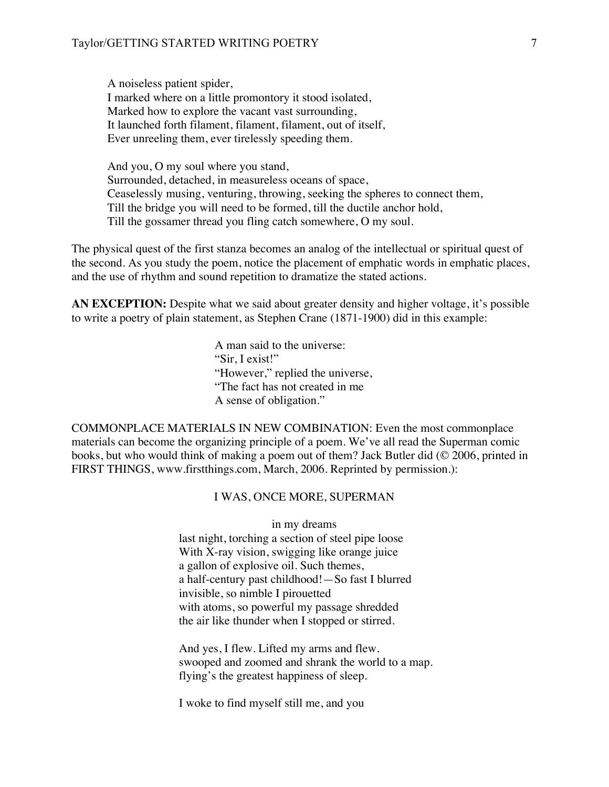A noiseless patient spider, I marked where on a little promontory it stood isolated, Marked how to explore the vacant vast surrounding, It launched forth filament, filament, filament, out of itself, Ever unreeling them, ever tirelessly speeding them.

And you, O my soul where you stand, Surrounded, detached, in measureless oceans of space, Ceaselessly musing, venturing, throwing, seeking the spheres to connect them, Till the bridge you will need to be formed, till the ductile anchor hold, Till the gossamer thread you fling catch somewhere, O my soul.

The physical quest of the first stanza becomes an analog of the intellectual or spiritual quest of the second. As you study the poem, notice the placement of emphatic words in emphatic places, and the use of rhythm and sound repetition to dramatize the stated actions.

**AN EXCEPTION:** Despite what we said about greater density and higher voltage, it's possible to write a poetry of plain statement, as Stephen Crane (1871-1900) did in this example:

> A man said to the universe: "Sir, I exist!" "However," replied the universe, "The fact has not created in me A sense of obligation."

COMMONPLACE MATERIALS IN NEW COMBINATION: Even the most commonplace materials can become the organizing principle of a poem. We've all read the Superman comic books, but who would think of making a poem out of them? Jack Butler did (© 2006, printed in FIRST THINGS, www.firstthings.com, March, 2006. Reprinted by permission.):

### I WAS, ONCE MORE, SUPERMAN

in my dreams last night, torching a section of steel pipe loose With X-ray vision, swigging like orange juice a gallon of explosive oil. Such themes, a half-century past childhood!—So fast I blurred invisible, so nimble I pirouetted with atoms, so powerful my passage shredded the air like thunder when I stopped or stirred.

And yes, I flew. Lifted my arms and flew. swooped and zoomed and shrank the world to a map. flying's the greatest happiness of sleep.

I woke to find myself still me, and you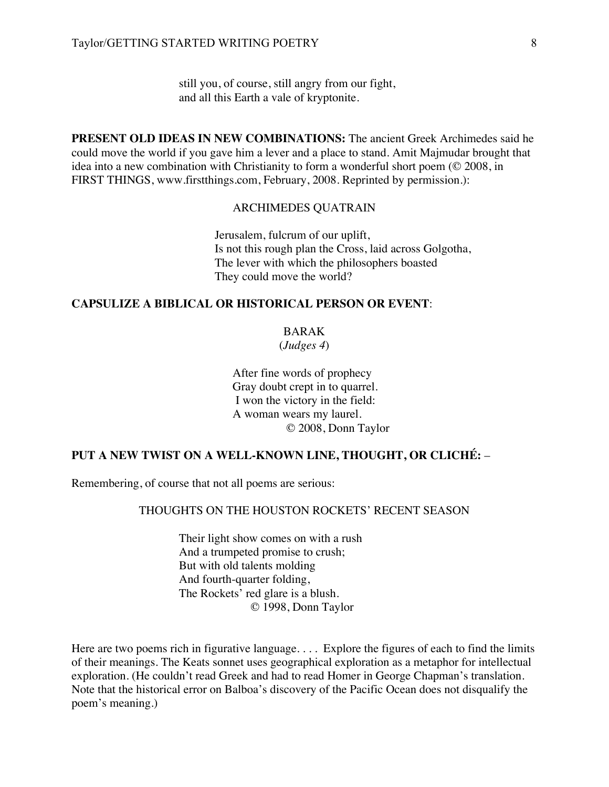still you, of course, still angry from our fight, and all this Earth a vale of kryptonite.

**PRESENT OLD IDEAS IN NEW COMBINATIONS:** The ancient Greek Archimedes said he could move the world if you gave him a lever and a place to stand. Amit Majmudar brought that idea into a new combination with Christianity to form a wonderful short poem (© 2008, in FIRST THINGS, www.firstthings.com, February, 2008. Reprinted by permission.):

### ARCHIMEDES QUATRAIN

Jerusalem, fulcrum of our uplift, Is not this rough plan the Cross, laid across Golgotha, The lever with which the philosophers boasted They could move the world?

### **CAPSULIZE A BIBLICAL OR HISTORICAL PERSON OR EVENT**:

BARAK

(*Judges 4*)

 After fine words of prophecy Gray doubt crept in to quarrel. I won the victory in the field: A woman wears my laurel. © 2008, Donn Taylor

## **PUT A NEW TWIST ON A WELL-KNOWN LINE, THOUGHT, OR CLICHÉ:** –

Remembering, of course that not all poems are serious:

## THOUGHTS ON THE HOUSTON ROCKETS' RECENT SEASON

Their light show comes on with a rush And a trumpeted promise to crush; But with old talents molding And fourth-quarter folding, The Rockets' red glare is a blush. © 1998, Donn Taylor

Here are two poems rich in figurative language. . . . Explore the figures of each to find the limits of their meanings. The Keats sonnet uses geographical exploration as a metaphor for intellectual exploration. (He couldn't read Greek and had to read Homer in George Chapman's translation. Note that the historical error on Balboa's discovery of the Pacific Ocean does not disqualify the poem's meaning.)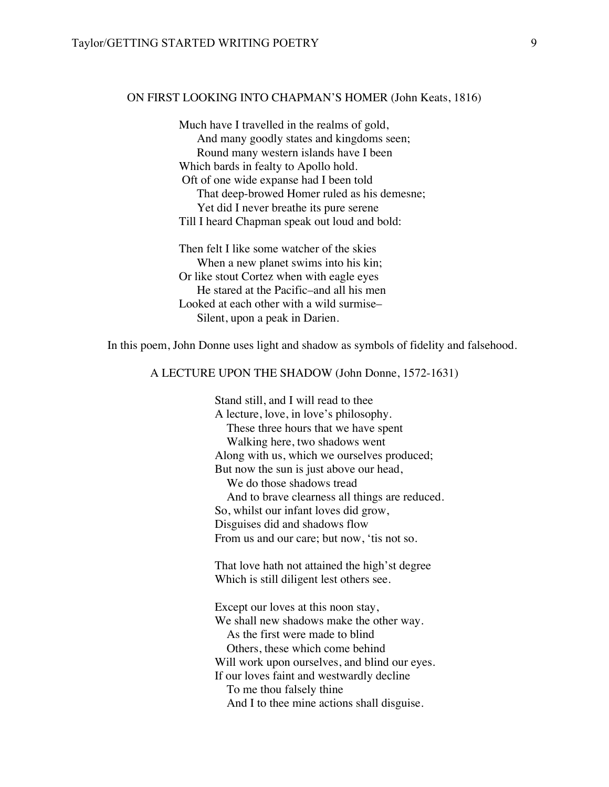### ON FIRST LOOKING INTO CHAPMAN'S HOMER (John Keats, 1816)

Much have I travelled in the realms of gold, And many goodly states and kingdoms seen; Round many western islands have I been Which bards in fealty to Apollo hold. Oft of one wide expanse had I been told That deep-browed Homer ruled as his demesne; Yet did I never breathe its pure serene Till I heard Chapman speak out loud and bold:

Then felt I like some watcher of the skies When a new planet swims into his kin; Or like stout Cortez when with eagle eyes He stared at the Pacific–and all his men Looked at each other with a wild surmise– Silent, upon a peak in Darien.

In this poem, John Donne uses light and shadow as symbols of fidelity and falsehood.

## A LECTURE UPON THE SHADOW (John Donne, 1572-1631)

Stand still, and I will read to thee A lecture, love, in love's philosophy. These three hours that we have spent Walking here, two shadows went Along with us, which we ourselves produced; But now the sun is just above our head, We do those shadows tread And to brave clearness all things are reduced. So, whilst our infant loves did grow, Disguises did and shadows flow From us and our care; but now, 'tis not so.

That love hath not attained the high'st degree Which is still diligent lest others see.

Except our loves at this noon stay, We shall new shadows make the other way. As the first were made to blind Others, these which come behind Will work upon ourselves, and blind our eyes. If our loves faint and westwardly decline To me thou falsely thine And I to thee mine actions shall disguise.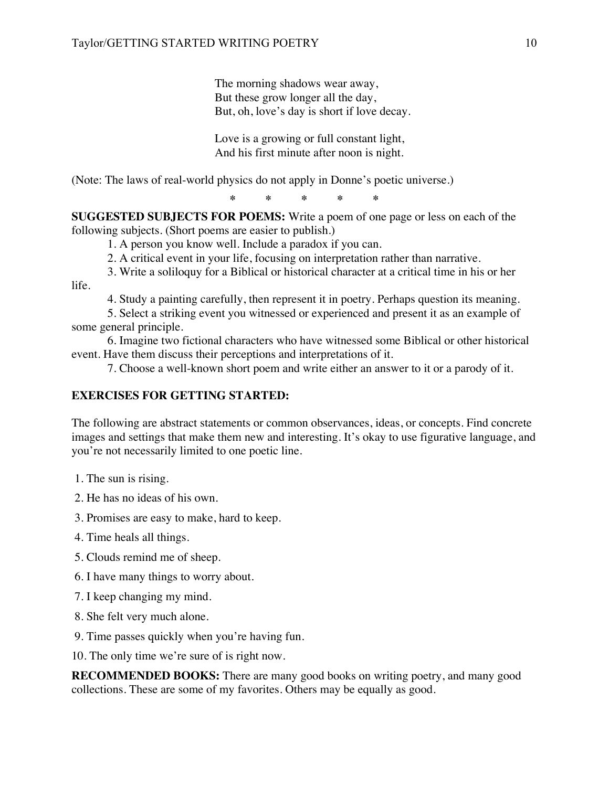The morning shadows wear away, But these grow longer all the day, But, oh, love's day is short if love decay.

Love is a growing or full constant light, And his first minute after noon is night.

(Note: The laws of real-world physics do not apply in Donne's poetic universe.)

**\* \* \* \* \***

**SUGGESTED SUBJECTS FOR POEMS:** Write a poem of one page or less on each of the following subjects. (Short poems are easier to publish.)

1. A person you know well. Include a paradox if you can.

2. A critical event in your life, focusing on interpretation rather than narrative.

3. Write a soliloquy for a Biblical or historical character at a critical time in his or her life.

4. Study a painting carefully, then represent it in poetry. Perhaps question its meaning.

5. Select a striking event you witnessed or experienced and present it as an example of some general principle.

6. Imagine two fictional characters who have witnessed some Biblical or other historical event. Have them discuss their perceptions and interpretations of it.

7. Choose a well-known short poem and write either an answer to it or a parody of it.

# **EXERCISES FOR GETTING STARTED:**

The following are abstract statements or common observances, ideas, or concepts. Find concrete images and settings that make them new and interesting. It's okay to use figurative language, and you're not necessarily limited to one poetic line.

1. The sun is rising.

2. He has no ideas of his own.

3. Promises are easy to make, hard to keep.

- 4. Time heals all things.
- 5. Clouds remind me of sheep.
- 6. I have many things to worry about.
- 7. I keep changing my mind.
- 8. She felt very much alone.
- 9. Time passes quickly when you're having fun.
- 10. The only time we're sure of is right now.

**RECOMMENDED BOOKS:** There are many good books on writing poetry, and many good collections. These are some of my favorites. Others may be equally as good.